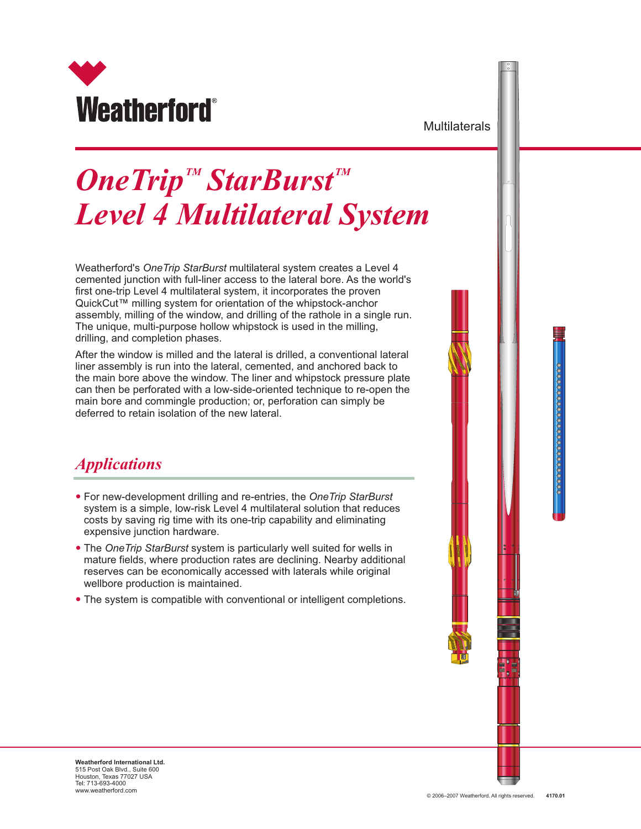

**Multilaterals** 

# $\boldsymbol{OneTrip}^{\textit{TM}}$  *StarBurst*  $\textit{TM}$ *Level 4 Multilateral System*

Weatherford's *OneTrip StarBurst* multilateral system creates a Level 4 cemented junction with full-liner access to the lateral bore. As the world's first one-trip Level 4 multilateral system, it incorporates the proven QuickCut™ milling system for orientation of the whipstock-anchor assembly, milling of the window, and drilling of the rathole in a single run. The unique, multi-purpose hollow whipstock is used in the milling, drilling, and completion phases.

After the window is milled and the lateral is drilled, a conventional lateral liner assembly is run into the lateral, cemented, and anchored back to the main bore above the window. The liner and whipstock pressure plate can then be perforated with a low-side-oriented technique to re-open the main bore and commingle production; or, perforation can simply be deferred to retain isolation of the new lateral.

### *Applications*

- —For new-development drilling and re-entries, the *OneTrip StarBurst* system is a simple, low-risk Level 4 multilateral solution that reduces costs by saving rig time with its one-trip capability and eliminating expensive junction hardware.
- The One Trip StarBurst system is particularly well suited for wells in mature fields, where production rates are declining. Nearby additional reserves can be economically accessed with laterals while original wellbore production is maintained.
- The system is compatible with conventional or intelligent completions. —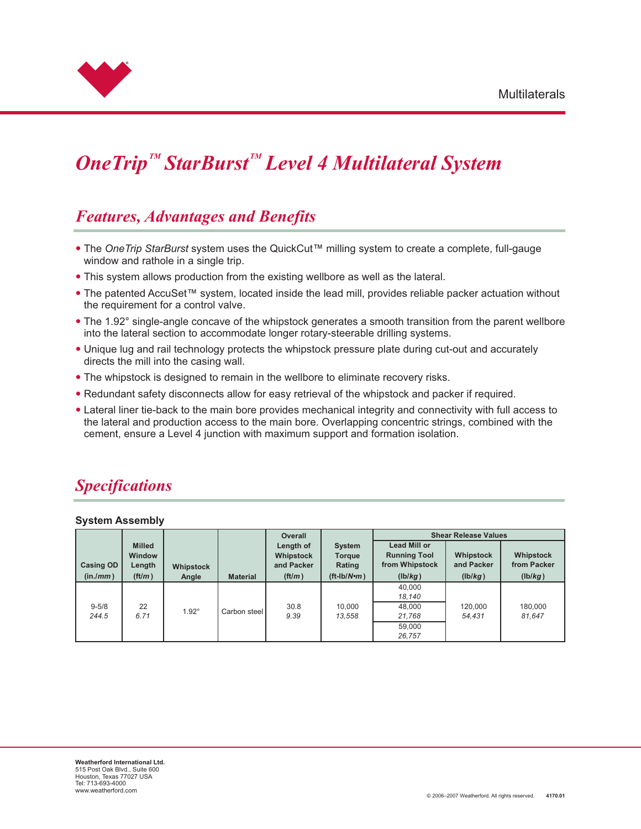

## $\boldsymbol{OneTip}^{\mathit{TM}}$  StarBurst<sup>*M*</sup> Level 4 Multilateral System

#### *Features, Advantages and Benefits*

- —The *OneTrip StarBurst* system uses the QuickCut™ milling system to create a complete, full-gauge window and rathole in a single trip.
- This system allows production from the existing wellbore as well as the lateral. —
- The patented AccuSet™ system, located inside the lead mill, provides reliable packer actuation without the requirement for a control valve.
- The 1.92° single-angle concave of the whipstock generates a smooth transition from the parent wellbore into the lateral section to accommodate longer rotary-steerable drilling systems.
- Unique lug and rail technology protects the whipstock pressure plate during cut-out and accurately directs the mill into the casing wall.
- The whipstock is designed to remain in the wellbore to eliminate recovery risks. —
- Redundant safety disconnects allow for easy retrieval of the whipstock and packer if required.
- Lateral liner tie-back to the main bore provides mechanical integrity and connectivity with full access to the lateral and production access to the main bore. Overlapping concentric strings, combined with the cement, ensure a Level 4 junction with maximum support and formation isolation.

## *Specifications*

#### **System Assembly**

|                    |                                          |              |                 | <b>Overall</b>                       |                                   | <b>Shear Release Values</b>                                  |                         |                             |  |
|--------------------|------------------------------------------|--------------|-----------------|--------------------------------------|-----------------------------------|--------------------------------------------------------------|-------------------------|-----------------------------|--|
| <b>Casing OD</b>   | <b>Milled</b><br><b>Window</b><br>Length | Whipstock    |                 | Length of<br>Whipstock<br>and Packer | <b>System</b><br>Torque<br>Rating | <b>Lead Mill or</b><br><b>Running Tool</b><br>from Whipstock | Whipstock<br>and Packer | Whipstock<br>from Packer    |  |
| (in./mm)           | ft/m)                                    | Angle        | <b>Material</b> | $\left(\frac{ft}{m}\right)$          | $({\rm ft-lb}/N$ •m $)$           | (lb/kg)                                                      | (lb/kg)                 | $(\mathsf{lb}/\mathsf{kg})$ |  |
|                    |                                          |              |                 |                                      |                                   | 40,000<br>18,140                                             |                         |                             |  |
| $9 - 5/8$<br>244.5 | 22<br>6.71                               | $1.92^\circ$ | Carbon steel    | 30.8<br>9.39                         | 10,000<br>13,558                  | 48,000<br>21,768                                             | 120.000<br>54.431       | 180,000<br>81,647           |  |
|                    |                                          |              |                 |                                      |                                   | 59.000<br>26.757                                             |                         |                             |  |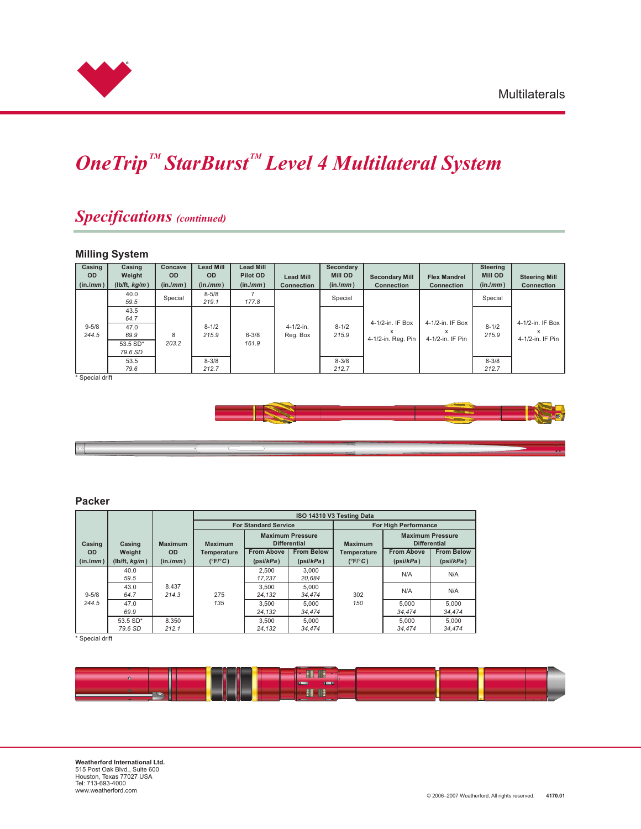

## $One Trip<sup>™</sup> StarBurst<sup>™</sup> Level 4 Multilateral System$

### *Specifications (continued)*

#### **Milling System**

| Casing<br><b>OD</b><br>(in./mm) | Casing<br>Weight<br>(lb/ft, kg/m)        | Concave<br><b>OD</b><br>(in/mm) | <b>Lead Mill</b><br>OD.<br>(in/mm) | <b>Lead Mill</b><br>Pilot OD<br>(in/mm) | <b>Lead Mill</b><br><b>Connection</b> | Secondary<br><b>Mill OD</b><br>(in/mm) | <b>Secondary Mill</b><br><b>Connection</b>  | <b>Flex Mandrel</b><br><b>Connection</b>  | <b>Steering</b><br><b>Mill OD</b><br>(in/mm) | <b>Steering Mill</b><br><b>Connection</b> |
|---------------------------------|------------------------------------------|---------------------------------|------------------------------------|-----------------------------------------|---------------------------------------|----------------------------------------|---------------------------------------------|-------------------------------------------|----------------------------------------------|-------------------------------------------|
|                                 | 40.0<br>59.5                             | Special                         | $8 - 5/8$<br>219.1                 | 177.8                                   |                                       | Special                                |                                             |                                           | Special                                      |                                           |
| $9 - 5/8$<br>244.5              | 43.5<br>64.7<br>47.0<br>69.9<br>53.5 SD* | 8<br>203.2                      | $8 - 1/2$<br>215.9                 | $6 - 3/8$<br>161.9                      | $4 - 1/2 - in.$<br>Reg. Box           | $8 - 1/2$<br>215.9                     | 4-1/2-in. IF Box<br>x<br>4-1/2-in. Reg. Pin | 4-1/2-in. IF Box<br>X<br>4-1/2-in. IF Pin | $8 - 1/2$<br>215.9                           | 4-1/2-in. IF Box<br>x<br>4-1/2-in. IF Pin |
|                                 | 79.6 SD<br>53.5<br>79.6                  |                                 | $8 - 3/8$<br>212.7                 |                                         |                                       | $8 - 3/8$<br>212.7                     |                                             |                                           | $8 - 3/8$<br>212.7                           |                                           |

\* Special drift



#### **Packer**

 $\lceil \cdot \rceil$ 

|           |                        |                |                                                                  |                   |                   | ISO 14310 V3 Testing Data                                        |                   |                   |  |
|-----------|------------------------|----------------|------------------------------------------------------------------|-------------------|-------------------|------------------------------------------------------------------|-------------------|-------------------|--|
|           |                        |                | <b>For Standard Service</b>                                      |                   |                   | <b>For High Performance</b>                                      |                   |                   |  |
| Casing    | Casing                 | <b>Maximum</b> | <b>Maximum Pressure</b><br><b>Differential</b><br><b>Maximum</b> |                   |                   | <b>Maximum Pressure</b><br><b>Differential</b><br><b>Maximum</b> |                   |                   |  |
| <b>OD</b> | Weight                 | OD.            | <b>Temperature</b>                                               | <b>From Above</b> | <b>From Below</b> | Temperature                                                      | <b>From Above</b> | <b>From Below</b> |  |
| (in./mm)  | (lb/ft, $kg/m$ )       | (in/mm)        | $(^{\circ}F/^{\circ}C)$                                          | (psi/kPa)         | (psi/kPa)         | $(^{\circ}F/^{\circ}C)$                                          | (psi/kPa)         | (psi/kPa)         |  |
|           | 40.0<br>59.5           | 8.437<br>214.3 | 275<br>135                                                       | 2.500<br>17.237   | 3.000<br>20.684   | 302<br>150                                                       | N/A               | N/A               |  |
| $9 - 5/8$ | 43.0<br>64.7           |                |                                                                  | 3.500<br>24.132   | 5.000<br>34.474   |                                                                  | N/A               | N/A               |  |
| 244.5     | 47.0<br>69.9           |                |                                                                  | 3.500<br>24.132   | 5.000<br>34.474   |                                                                  | 5.000<br>34.474   | 5.000<br>34.474   |  |
|           | $53.5 S D*$<br>79.6 SD | 8.350<br>212.1 |                                                                  | 3.500<br>24.132   | 5.000<br>34.474   |                                                                  | 5.000<br>34.474   | 5.000<br>34.474   |  |

\* Special drift

|            | <b><i><u>Property</u></i></b> | $\overline{\phantom{a}}$<br>THE <sub>1</sub><br>E<br>c |  |
|------------|-------------------------------|--------------------------------------------------------|--|
|            |                               | $\blacksquare$<br><b>The Street</b>                    |  |
| <b>TOO</b> |                               | erman <sub>1</sub><br><b>Elli</b><br>IIIE              |  |
|            |                               |                                                        |  |